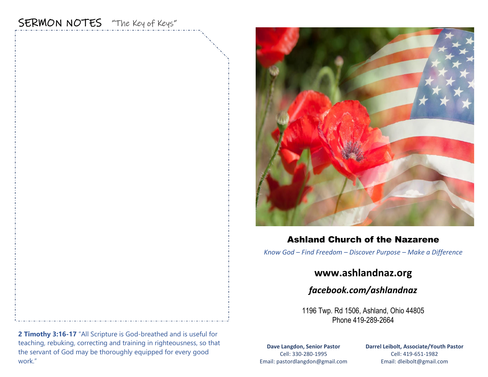# SERMON NOTES "The Key of Keys"



### Ashland Church of the Nazarene

*Know God – Find Freedom – Discover Purpose – Make a Difference*

## **www.ashlandnaz.org**

*facebook.com/ashlandnaz*

1196 Twp. Rd 1506, Ashland, Ohio 44805 Phone 419-289-2664

**Dave Langdon, Senior Pastor** Cell: 330-280-1995 Email: pastordlangdon@gmail.com **Darrel Leibolt, Associate/Youth Pastor** Cell: 419-651-1982 Email: dleibolt@gmail.com

**2 Timothy 3:16-17** "All Scripture is God-breathed and is useful for teaching, rebuking, correcting and training in righteousness, so that the servant of God may be thoroughly equipped for every good work."